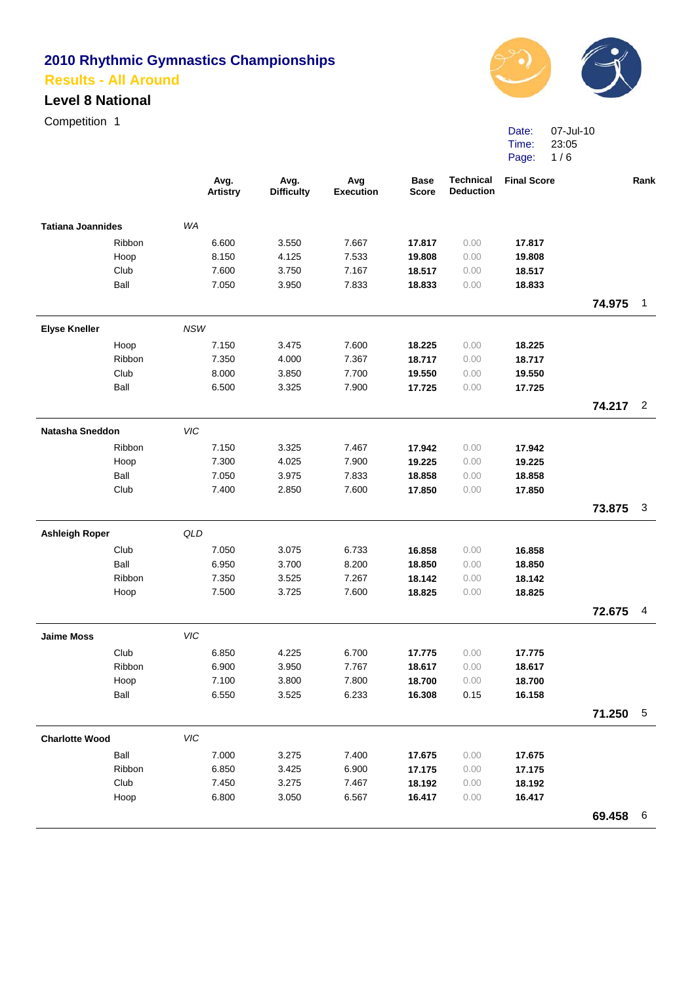#### **Level 8 National**

Competition 1



Date: Time: Page: 1/6 07-Jul-10 23:05

|                          |        |            | Avg.<br><b>Artistry</b> | Avg.<br><b>Difficulty</b> | Avg<br><b>Execution</b> | <b>Base</b><br><b>Score</b> | <b>Technical</b><br><b>Deduction</b> | <b>Final Score</b> |          | Rank            |
|--------------------------|--------|------------|-------------------------|---------------------------|-------------------------|-----------------------------|--------------------------------------|--------------------|----------|-----------------|
| <b>Tatiana Joannides</b> |        | WA         |                         |                           |                         |                             |                                      |                    |          |                 |
|                          | Ribbon |            | 6.600                   | 3.550                     | 7.667                   | 17.817                      | 0.00                                 | 17.817             |          |                 |
|                          | Hoop   |            | 8.150                   | 4.125                     | 7.533                   | 19.808                      | 0.00                                 | 19.808             |          |                 |
|                          | Club   |            | 7.600                   | 3.750                     | 7.167                   | 18.517                      | 0.00                                 | 18.517             |          |                 |
|                          | Ball   |            | 7.050                   | 3.950                     | 7.833                   | 18.833                      | 0.00                                 | 18.833             |          |                 |
|                          |        |            |                         |                           |                         |                             |                                      |                    | 74.975   | $\mathbf{1}$    |
| <b>Elyse Kneller</b>     |        | <b>NSW</b> |                         |                           |                         |                             |                                      |                    |          |                 |
|                          | Hoop   |            | 7.150                   | 3.475                     | 7.600                   | 18.225                      | 0.00                                 | 18.225             |          |                 |
|                          | Ribbon |            | 7.350                   | 4.000                     | 7.367                   | 18.717                      | 0.00                                 | 18.717             |          |                 |
|                          | Club   |            | 8.000                   | 3.850                     | 7.700                   | 19.550                      | 0.00                                 | 19.550             |          |                 |
|                          | Ball   |            | 6.500                   | 3.325                     | 7.900                   | 17.725                      | 0.00                                 | 17.725             |          |                 |
|                          |        |            |                         |                           |                         |                             |                                      |                    | 74.217   | $\overline{2}$  |
| <b>Natasha Sneddon</b>   |        | VIC        |                         |                           |                         |                             |                                      |                    |          |                 |
|                          | Ribbon |            | 7.150                   | 3.325                     | 7.467                   | 17.942                      | 0.00                                 | 17.942             |          |                 |
|                          | Hoop   |            | 7.300                   | 4.025                     | 7.900                   | 19.225                      | 0.00                                 | 19.225             |          |                 |
|                          | Ball   |            | 7.050                   | 3.975                     | 7.833                   | 18.858                      | 0.00                                 | 18.858             |          |                 |
|                          | Club   |            | 7.400                   | 2.850                     | 7.600                   | 17.850                      | 0.00                                 | 17.850             |          |                 |
|                          |        |            |                         |                           |                         |                             |                                      |                    | 73.875   | 3               |
| <b>Ashleigh Roper</b>    |        | QLD        |                         |                           |                         |                             |                                      |                    |          |                 |
|                          | Club   |            | 7.050                   | 3.075                     | 6.733                   | 16.858                      | 0.00                                 | 16.858             |          |                 |
|                          | Ball   |            | 6.950                   | 3.700                     | 8.200                   | 18.850                      | 0.00                                 | 18.850             |          |                 |
|                          | Ribbon |            | 7.350                   | 3.525                     | 7.267                   | 18.142                      | 0.00                                 | 18.142             |          |                 |
|                          | Hoop   |            | 7.500                   | 3.725                     | 7.600                   | 18.825                      | 0.00                                 | 18.825             |          |                 |
|                          |        |            |                         |                           |                         |                             |                                      |                    | 72.675   | 4               |
| <b>Jaime Moss</b>        |        | VIC        |                         |                           |                         |                             |                                      |                    |          |                 |
|                          | Club   |            | 6.850                   | 4.225                     | 6.700                   | 17.775                      | 0.00                                 | 17.775             |          |                 |
|                          | Ribbon |            | 6.900                   | 3.950                     | 7.767                   | 18.617                      | 0.00                                 | 18.617             |          |                 |
|                          | Hoop   |            | 7.100                   | 3.800                     | 7.800                   | 18.700                      | 0.00                                 | 18.700             |          |                 |
|                          | Ball   |            | 6.550                   | 3.525                     | 6.233                   | 16.308                      | 0.15                                 | 16.158             |          |                 |
|                          |        |            |                         |                           |                         |                             |                                      |                    | 71.250 5 |                 |
| <b>Charlotte Wood</b>    |        | VIC        |                         |                           |                         |                             |                                      |                    |          |                 |
|                          | Ball   |            | 7.000                   | 3.275                     | 7.400                   | 17.675                      | 0.00                                 | 17.675             |          |                 |
|                          | Ribbon |            | 6.850                   | 3.425                     | 6.900                   | 17.175                      | 0.00                                 | 17.175             |          |                 |
|                          | Club   |            | 7.450                   | 3.275                     | 7.467                   | 18.192                      | 0.00                                 | 18.192             |          |                 |
|                          | Hoop   |            | 6.800                   | 3.050                     | 6.567                   | 16.417                      | 0.00                                 | 16.417             |          |                 |
|                          |        |            |                         |                           |                         |                             |                                      |                    | 69.458   | $6\phantom{1}6$ |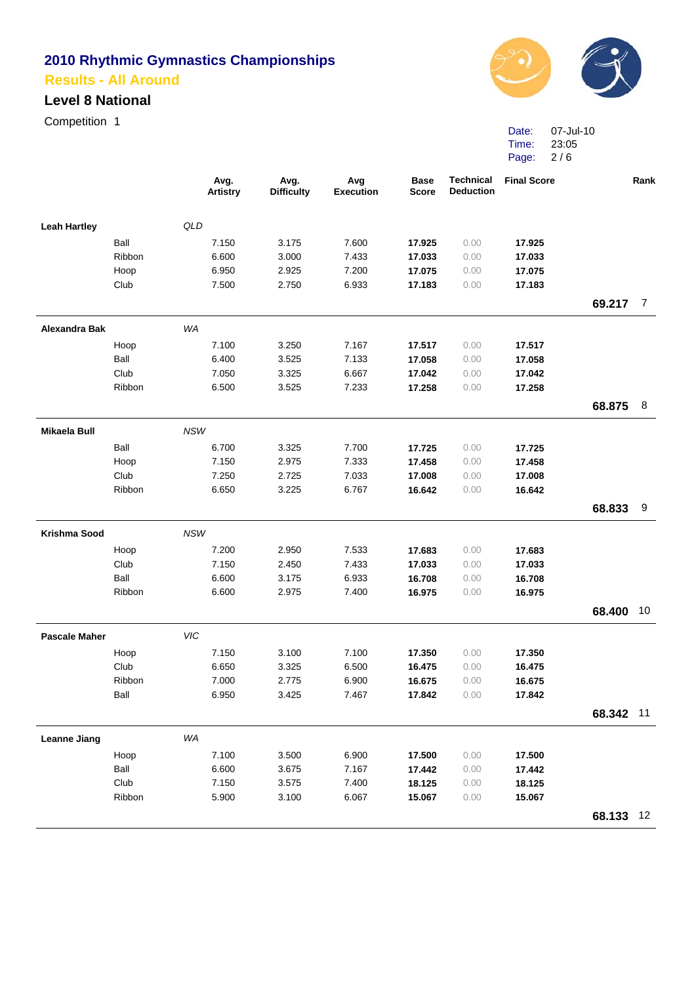#### **Level 8 National**

Competition 1



Date: 07-Jul-10 Time: Page: 2 / 6 23:05

|                      |        | Avg.<br><b>Artistry</b> | Avg.<br><b>Difficulty</b> | Avg<br><b>Execution</b> | <b>Base</b><br><b>Score</b> | <b>Technical</b><br><b>Deduction</b> | <b>Final Score</b> |           | Rank           |
|----------------------|--------|-------------------------|---------------------------|-------------------------|-----------------------------|--------------------------------------|--------------------|-----------|----------------|
| <b>Leah Hartley</b>  |        | QLD                     |                           |                         |                             |                                      |                    |           |                |
|                      | Ball   | 7.150                   | 3.175                     | 7.600                   | 17.925                      | 0.00                                 | 17.925             |           |                |
|                      | Ribbon | 6.600                   | 3.000                     | 7.433                   | 17.033                      | 0.00                                 | 17.033             |           |                |
|                      | Hoop   | 6.950                   | 2.925                     | 7.200                   | 17.075                      | 0.00                                 | 17.075             |           |                |
|                      | Club   | 7.500                   | 2.750                     | 6.933                   | 17.183                      | 0.00                                 | 17.183             |           |                |
|                      |        |                         |                           |                         |                             |                                      |                    | 69.217    | $\overline{7}$ |
| <b>Alexandra Bak</b> |        | WA                      |                           |                         |                             |                                      |                    |           |                |
|                      | Hoop   | 7.100                   | 3.250                     | 7.167                   | 17.517                      | 0.00                                 | 17.517             |           |                |
|                      | Ball   | 6.400                   | 3.525                     | 7.133                   | 17.058                      | 0.00                                 | 17.058             |           |                |
|                      | Club   | 7.050                   | 3.325                     | 6.667                   | 17.042                      | 0.00                                 | 17.042             |           |                |
|                      | Ribbon | 6.500                   | 3.525                     | 7.233                   | 17.258                      | 0.00                                 | 17.258             |           |                |
|                      |        |                         |                           |                         |                             |                                      |                    | 68.875    | 8              |
| <b>Mikaela Bull</b>  |        | <b>NSW</b>              |                           |                         |                             |                                      |                    |           |                |
|                      | Ball   | 6.700                   | 3.325                     | 7.700                   | 17.725                      | 0.00                                 | 17.725             |           |                |
|                      | Hoop   | 7.150                   | 2.975                     | 7.333                   | 17.458                      | 0.00                                 | 17.458             |           |                |
|                      | Club   | 7.250                   | 2.725                     | 7.033                   | 17.008                      | 0.00                                 | 17.008             |           |                |
|                      | Ribbon | 6.650                   | 3.225                     | 6.767                   | 16.642                      | 0.00                                 | 16.642             |           |                |
|                      |        |                         |                           |                         |                             |                                      |                    | 68.833    | 9              |
| Krishma Sood         |        | <b>NSW</b>              |                           |                         |                             |                                      |                    |           |                |
|                      | Hoop   | 7.200                   | 2.950                     | 7.533                   | 17.683                      | 0.00                                 | 17.683             |           |                |
|                      | Club   | 7.150                   | 2.450                     | 7.433                   | 17.033                      | 0.00                                 | 17.033             |           |                |
|                      | Ball   | 6.600                   | 3.175                     | 6.933                   | 16.708                      | 0.00                                 | 16.708             |           |                |
|                      | Ribbon | 6.600                   | 2.975                     | 7.400                   | 16.975                      | 0.00                                 | 16.975             |           |                |
|                      |        |                         |                           |                         |                             |                                      |                    | 68.400    | 10             |
| <b>Pascale Maher</b> |        | VIC                     |                           |                         |                             |                                      |                    |           |                |
|                      | Hoop   | 7.150                   | 3.100                     | 7.100                   | 17.350                      | 0.00                                 | 17.350             |           |                |
|                      | Club   | 6.650                   | 3.325                     | 6.500                   | 16.475                      | 0.00                                 | 16.475             |           |                |
|                      | Ribbon | 7.000                   | 2.775                     | 6.900                   | 16.675                      | 0.00                                 | 16.675             |           |                |
|                      | Ball   | 6.950                   | 3.425                     | 7.467                   | 17.842                      | 0.00                                 | 17.842             |           |                |
|                      |        |                         |                           |                         |                             |                                      |                    | 68.342 11 |                |
| <b>Leanne Jiang</b>  |        | WA                      |                           |                         |                             |                                      |                    |           |                |
|                      | Hoop   | 7.100                   | 3.500                     | 6.900                   | 17.500                      | 0.00                                 | 17.500             |           |                |
|                      | Ball   | 6.600                   | 3.675                     | 7.167                   | 17.442                      | 0.00                                 | 17.442             |           |                |
|                      | Club   | 7.150                   | 3.575                     | 7.400                   | 18.125                      | 0.00                                 | 18.125             |           |                |
|                      | Ribbon | 5.900                   | 3.100                     | 6.067                   | 15.067                      | 0.00                                 | 15.067             |           |                |
|                      |        |                         |                           |                         |                             |                                      |                    | 68.133 12 |                |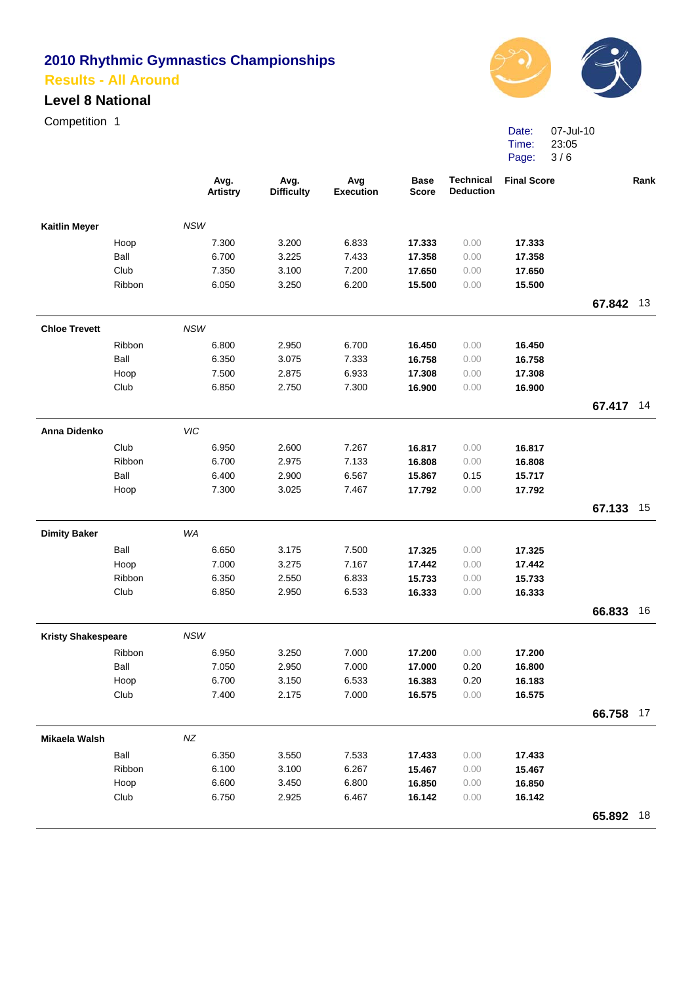### **Level 8 National**

Competition 1



Date: Time: Page: 3 / 6 07-Jul-10 23:05

|                           |        |            | Avg.<br><b>Artistry</b> | Avg.<br><b>Difficulty</b> | Avg<br><b>Execution</b> | <b>Base</b><br><b>Score</b> | <b>Technical</b><br><b>Deduction</b> | <b>Final Score</b> |           | Rank |
|---------------------------|--------|------------|-------------------------|---------------------------|-------------------------|-----------------------------|--------------------------------------|--------------------|-----------|------|
| <b>Kaitlin Meyer</b>      |        | <b>NSW</b> |                         |                           |                         |                             |                                      |                    |           |      |
|                           | Hoop   |            | 7.300                   | 3.200                     | 6.833                   | 17.333                      | 0.00                                 | 17.333             |           |      |
|                           | Ball   |            | 6.700                   | 3.225                     | 7.433                   | 17.358                      | 0.00                                 | 17.358             |           |      |
|                           | Club   |            | 7.350                   | 3.100                     | 7.200                   | 17.650                      | 0.00                                 | 17.650             |           |      |
|                           | Ribbon |            | 6.050                   | 3.250                     | 6.200                   | 15.500                      | 0.00                                 | 15.500             |           |      |
|                           |        |            |                         |                           |                         |                             |                                      |                    | 67.842 13 |      |
| <b>Chloe Trevett</b>      |        | <b>NSW</b> |                         |                           |                         |                             |                                      |                    |           |      |
|                           | Ribbon |            | 6.800                   | 2.950                     | 6.700                   | 16.450                      | 0.00                                 | 16.450             |           |      |
|                           | Ball   |            | 6.350                   | 3.075                     | 7.333                   | 16.758                      | 0.00                                 | 16.758             |           |      |
|                           | Hoop   |            | 7.500                   | 2.875                     | 6.933                   | 17.308                      | 0.00                                 | 17.308             |           |      |
|                           | Club   |            | 6.850                   | 2.750                     | 7.300                   | 16.900                      | 0.00                                 | 16.900             |           |      |
|                           |        |            |                         |                           |                         |                             |                                      |                    | 67.417    | -14  |
| Anna Didenko              |        | VIC        |                         |                           |                         |                             |                                      |                    |           |      |
|                           | Club   |            | 6.950                   | 2.600                     | 7.267                   | 16.817                      | 0.00                                 | 16.817             |           |      |
|                           | Ribbon |            | 6.700                   | 2.975                     | 7.133                   | 16.808                      | 0.00                                 | 16.808             |           |      |
|                           | Ball   |            | 6.400                   | 2.900                     | 6.567                   | 15.867                      | 0.15                                 | 15.717             |           |      |
|                           | Hoop   |            | 7.300                   | 3.025                     | 7.467                   | 17.792                      | 0.00                                 | 17.792             |           |      |
|                           |        |            |                         |                           |                         |                             |                                      |                    | 67.133    | 15   |
| <b>Dimity Baker</b>       |        | WA         |                         |                           |                         |                             |                                      |                    |           |      |
|                           | Ball   |            | 6.650                   | 3.175                     | 7.500                   | 17.325                      | 0.00                                 | 17.325             |           |      |
|                           | Hoop   |            | 7.000                   | 3.275                     | 7.167                   | 17.442                      | 0.00                                 | 17.442             |           |      |
|                           | Ribbon |            | 6.350                   | 2.550                     | 6.833                   | 15.733                      | 0.00                                 | 15.733             |           |      |
|                           | Club   |            | 6.850                   | 2.950                     | 6.533                   | 16.333                      | 0.00                                 | 16.333             |           |      |
|                           |        |            |                         |                           |                         |                             |                                      |                    | 66.833    | 16   |
| <b>Kristy Shakespeare</b> |        | NSW        |                         |                           |                         |                             |                                      |                    |           |      |
|                           | Ribbon |            | 6.950                   | 3.250                     | 7.000                   | 17.200                      | 0.00                                 | 17.200             |           |      |
|                           | Ball   |            | 7.050                   | 2.950                     | 7.000                   | 17.000                      | 0.20                                 | 16.800             |           |      |
|                           | Hoop   |            | 6.700                   | 3.150                     | 6.533                   | 16.383                      | 0.20                                 | 16.183             |           |      |
|                           | Club   |            | 7.400                   | 2.175                     | 7.000                   | 16.575                      | 0.00                                 | 16.575             |           |      |
|                           |        |            |                         |                           |                         |                             |                                      |                    | 66.758 17 |      |
| Mikaela Walsh             |        | $N\!Z$     |                         |                           |                         |                             |                                      |                    |           |      |
|                           | Ball   |            | 6.350                   | 3.550                     | 7.533                   | 17.433                      | 0.00                                 | 17.433             |           |      |
|                           | Ribbon |            | 6.100                   | 3.100                     | 6.267                   | 15.467                      | 0.00                                 | 15.467             |           |      |
|                           | Hoop   |            | 6.600                   | 3.450                     | 6.800                   | 16.850                      | 0.00                                 | 16.850             |           |      |
|                           | Club   |            | 6.750                   | 2.925                     | 6.467                   | 16.142                      | 0.00                                 | 16.142             |           |      |
|                           |        |            |                         |                           |                         |                             |                                      |                    | 65.892 18 |      |
|                           |        |            |                         |                           |                         |                             |                                      |                    |           |      |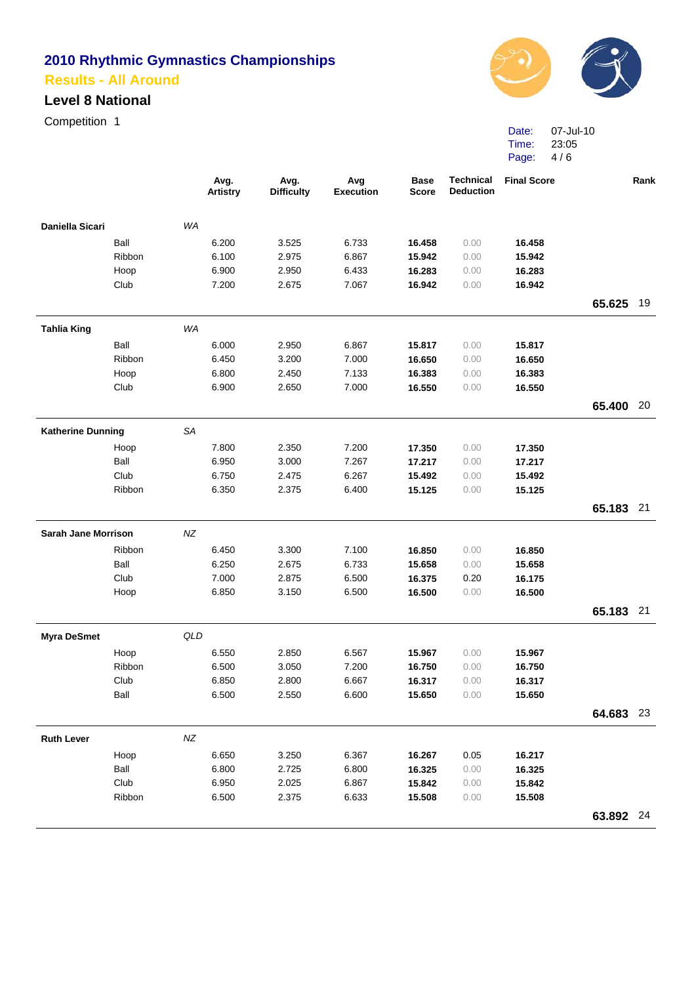#### **Level 8 National**

Competition 1



Date: 07-Jul-10 Time: Page: 4/6 23:05

|                            |        |           | Avg.<br><b>Artistry</b> | Avg.<br><b>Difficulty</b> | Avg<br><b>Execution</b> | <b>Base</b><br><b>Score</b> | <b>Technical</b><br><b>Deduction</b> | <b>Final Score</b> |           | Rank |
|----------------------------|--------|-----------|-------------------------|---------------------------|-------------------------|-----------------------------|--------------------------------------|--------------------|-----------|------|
| Daniella Sicari            |        | WA        |                         |                           |                         |                             |                                      |                    |           |      |
|                            | Ball   |           | 6.200                   | 3.525                     | 6.733                   | 16.458                      | 0.00                                 | 16.458             |           |      |
|                            | Ribbon |           | 6.100                   | 2.975                     | 6.867                   | 15.942                      | 0.00                                 | 15.942             |           |      |
|                            | Hoop   |           | 6.900                   | 2.950                     | 6.433                   | 16.283                      | 0.00                                 | 16.283             |           |      |
|                            | Club   |           | 7.200                   | 2.675                     | 7.067                   | 16.942                      | 0.00                                 | 16.942             |           |      |
|                            |        |           |                         |                           |                         |                             |                                      |                    | 65.625    | 19   |
| <b>Tahlia King</b>         |        | WA        |                         |                           |                         |                             |                                      |                    |           |      |
|                            | Ball   |           | 6.000                   | 2.950                     | 6.867                   | 15.817                      | 0.00                                 | 15.817             |           |      |
|                            | Ribbon |           | 6.450                   | 3.200                     | 7.000                   | 16.650                      | 0.00                                 | 16.650             |           |      |
|                            | Hoop   |           | 6.800                   | 2.450                     | 7.133                   | 16.383                      | 0.00                                 | 16.383             |           |      |
|                            | Club   |           | 6.900                   | 2.650                     | 7.000                   | 16.550                      | 0.00                                 | 16.550             |           |      |
|                            |        |           |                         |                           |                         |                             |                                      |                    | 65.400 20 |      |
| <b>Katherine Dunning</b>   |        | <b>SA</b> |                         |                           |                         |                             |                                      |                    |           |      |
|                            | Hoop   |           | 7.800                   | 2.350                     | 7.200                   | 17.350                      | 0.00                                 | 17.350             |           |      |
|                            | Ball   |           | 6.950                   | 3.000                     | 7.267                   | 17.217                      | 0.00                                 | 17.217             |           |      |
|                            | Club   |           | 6.750                   | 2.475                     | 6.267                   | 15.492                      | 0.00                                 | 15.492             |           |      |
|                            | Ribbon |           | 6.350                   | 2.375                     | 6.400                   | 15.125                      | 0.00                                 | 15.125             |           |      |
|                            |        |           |                         |                           |                         |                             |                                      |                    | 65.183 21 |      |
| <b>Sarah Jane Morrison</b> |        | $N\!Z$    |                         |                           |                         |                             |                                      |                    |           |      |
|                            | Ribbon |           | 6.450                   | 3.300                     | 7.100                   | 16.850                      | 0.00                                 | 16.850             |           |      |
|                            | Ball   |           | 6.250                   | 2.675                     | 6.733                   | 15.658                      | 0.00                                 | 15.658             |           |      |
|                            | Club   |           | 7.000                   | 2.875                     | 6.500                   | 16.375                      | 0.20                                 | 16.175             |           |      |
|                            | Hoop   |           | 6.850                   | 3.150                     | 6.500                   | 16.500                      | 0.00                                 | 16.500             |           |      |
|                            |        |           |                         |                           |                         |                             |                                      |                    | 65.183 21 |      |
| <b>Myra DeSmet</b>         |        | QLD       |                         |                           |                         |                             |                                      |                    |           |      |
|                            | Hoop   |           | 6.550                   | 2.850                     | 6.567                   | 15.967                      | 0.00                                 | 15.967             |           |      |
|                            | Ribbon |           | 6.500                   | 3.050                     | 7.200                   | 16.750                      | 0.00                                 | 16.750             |           |      |
|                            | Club   |           | 6.850                   | 2.800                     | 6.667                   | 16.317                      | 0.00                                 | 16.317             |           |      |
|                            | Ball   |           | 6.500                   | 2.550                     | 6.600                   | 15.650                      | 0.00                                 | 15.650             |           |      |
|                            |        |           |                         |                           |                         |                             |                                      |                    | 64.683 23 |      |
| <b>Ruth Lever</b>          |        | $N\!Z$    |                         |                           |                         |                             |                                      |                    |           |      |
|                            | Hoop   |           | 6.650                   | 3.250                     | 6.367                   | 16.267                      | 0.05                                 | 16.217             |           |      |
|                            | Ball   |           | 6.800                   | 2.725                     | 6.800                   | 16.325                      | 0.00                                 | 16.325             |           |      |
|                            | Club   |           | 6.950                   | 2.025                     | 6.867                   | 15.842                      | 0.00                                 | 15.842             |           |      |
|                            | Ribbon |           | 6.500                   | 2.375                     | 6.633                   | 15.508                      | 0.00                                 | 15.508             |           |      |
|                            |        |           |                         |                           |                         |                             |                                      |                    | 63.892 24 |      |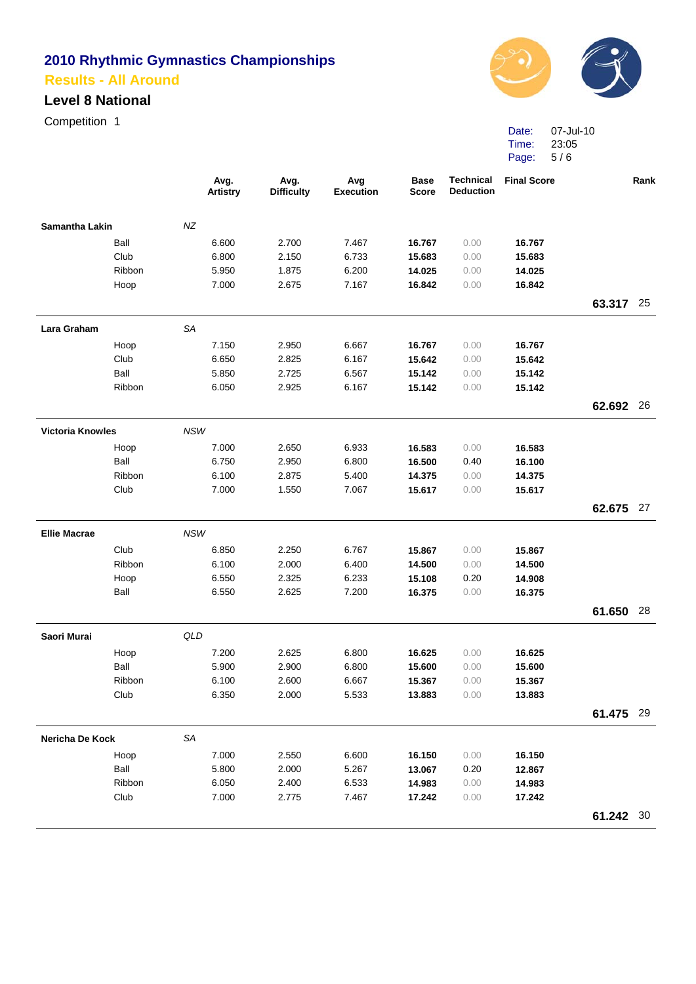#### **Level 8 National**

Competition 1



Date: Time: Page: 5 / 6 07-Jul-10 23:05

|                         |        |            | Avg.<br><b>Artistry</b> | Avg.<br><b>Difficulty</b> | Avg<br><b>Execution</b> | <b>Base</b><br><b>Score</b> | <b>Technical</b><br><b>Deduction</b> | <b>Final Score</b> |           | Rank |
|-------------------------|--------|------------|-------------------------|---------------------------|-------------------------|-----------------------------|--------------------------------------|--------------------|-----------|------|
| Samantha Lakin          |        | NZ         |                         |                           |                         |                             |                                      |                    |           |      |
|                         | Ball   |            | 6.600                   | 2.700                     | 7.467                   | 16.767                      | 0.00                                 | 16.767             |           |      |
|                         | Club   |            | 6.800                   | 2.150                     | 6.733                   | 15.683                      | 0.00                                 | 15.683             |           |      |
|                         | Ribbon |            | 5.950                   | 1.875                     | 6.200                   | 14.025                      | 0.00                                 | 14.025             |           |      |
|                         | Hoop   |            | 7.000                   | 2.675                     | 7.167                   | 16.842                      | 0.00                                 | 16.842             |           |      |
|                         |        |            |                         |                           |                         |                             |                                      |                    | 63.317 25 |      |
| Lara Graham             |        | <b>SA</b>  |                         |                           |                         |                             |                                      |                    |           |      |
|                         | Hoop   |            | 7.150                   | 2.950                     | 6.667                   | 16.767                      | 0.00                                 | 16.767             |           |      |
|                         | Club   |            | 6.650                   | 2.825                     | 6.167                   | 15.642                      | 0.00                                 | 15.642             |           |      |
|                         | Ball   |            | 5.850                   | 2.725                     | 6.567                   | 15.142                      | 0.00                                 | 15.142             |           |      |
|                         | Ribbon |            | 6.050                   | 2.925                     | 6.167                   | 15.142                      | 0.00                                 | 15.142             |           |      |
|                         |        |            |                         |                           |                         |                             |                                      |                    | 62.692 26 |      |
| <b>Victoria Knowles</b> |        | NSW        |                         |                           |                         |                             |                                      |                    |           |      |
|                         | Hoop   |            | 7.000                   | 2.650                     | 6.933                   | 16.583                      | 0.00                                 | 16.583             |           |      |
|                         | Ball   |            | 6.750                   | 2.950                     | 6.800                   | 16.500                      | 0.40                                 | 16.100             |           |      |
|                         | Ribbon |            | 6.100                   | 2.875                     | 5.400                   | 14.375                      | 0.00                                 | 14.375             |           |      |
|                         | Club   |            | 7.000                   | 1.550                     | 7.067                   | 15.617                      | 0.00                                 | 15.617             |           |      |
|                         |        |            |                         |                           |                         |                             |                                      |                    | 62.675 27 |      |
| <b>Ellie Macrae</b>     |        | <b>NSW</b> |                         |                           |                         |                             |                                      |                    |           |      |
|                         | Club   |            | 6.850                   | 2.250                     | 6.767                   | 15.867                      | 0.00                                 | 15.867             |           |      |
|                         | Ribbon |            | 6.100                   | 2.000                     | 6.400                   | 14.500                      | 0.00                                 | 14.500             |           |      |
|                         | Hoop   |            | 6.550                   | 2.325                     | 6.233                   | 15.108                      | 0.20                                 | 14.908             |           |      |
|                         | Ball   |            | 6.550                   | 2.625                     | 7.200                   | 16.375                      | 0.00                                 | 16.375             |           |      |
|                         |        |            |                         |                           |                         |                             |                                      |                    | 61.650 28 |      |
| Saori Murai             |        | QLD        |                         |                           |                         |                             |                                      |                    |           |      |
|                         | Hoop   |            | 7.200                   | 2.625                     | 6.800                   | 16.625                      | 0.00                                 | 16.625             |           |      |
|                         | Ball   |            | 5.900                   | 2.900                     | 6.800                   | 15.600                      | 0.00                                 | 15.600             |           |      |
|                         | Ribbon |            | 6.100                   | 2.600                     | 6.667                   | 15.367                      | 0.00                                 | 15.367             |           |      |
|                         | Club   |            | 6.350                   | 2.000                     | 5.533                   | 13.883                      | 0.00                                 | 13.883             |           |      |
|                         |        |            |                         |                           |                         |                             |                                      |                    | 61.475 29 |      |
| Nericha De Kock         |        | SA         |                         |                           |                         |                             |                                      |                    |           |      |
|                         | Hoop   |            | 7.000                   | 2.550                     | 6.600                   | 16.150                      | 0.00                                 | 16.150             |           |      |
|                         | Ball   |            | 5.800                   | 2.000                     | 5.267                   | 13.067                      | 0.20                                 | 12.867             |           |      |
|                         | Ribbon |            | 6.050                   | 2.400                     | 6.533                   | 14.983                      | 0.00                                 | 14.983             |           |      |
|                         | Club   |            | 7.000                   | 2.775                     | 7.467                   | 17.242                      | 0.00                                 | 17.242             |           |      |
|                         |        |            |                         |                           |                         |                             |                                      |                    | 61.242 30 |      |
|                         |        |            |                         |                           |                         |                             |                                      |                    |           |      |